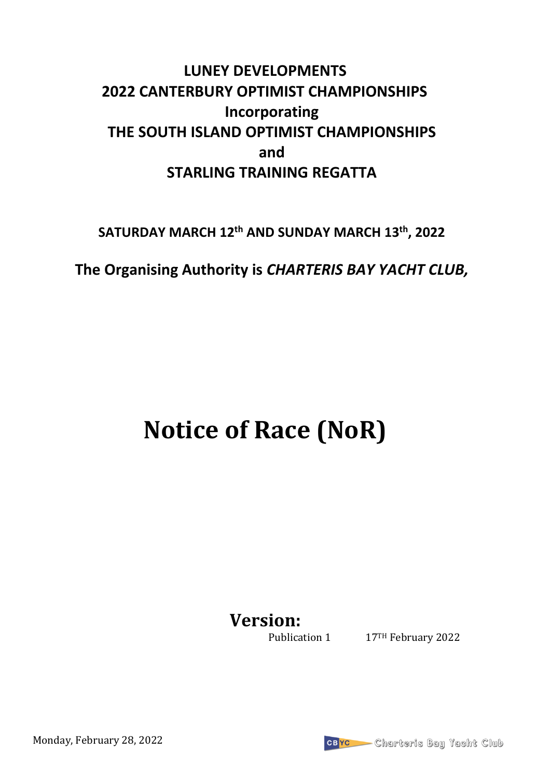# **LUNEY DEVELOPMENTS 2022 CANTERBURY OPTIMIST CHAMPIONSHIPS Incorporating THE SOUTH ISLAND OPTIMIST CHAMPIONSHIPS and STARLING TRAINING REGATTA**

**SATURDAY MARCH 12th AND SUNDAY MARCH 13th, 2022**

**The Organising Authority is** *CHARTERIS BAY YACHT CLUB,* 

# **Notice of Race (NoR)**

**Version:**

Publication 1 17TH February 2022

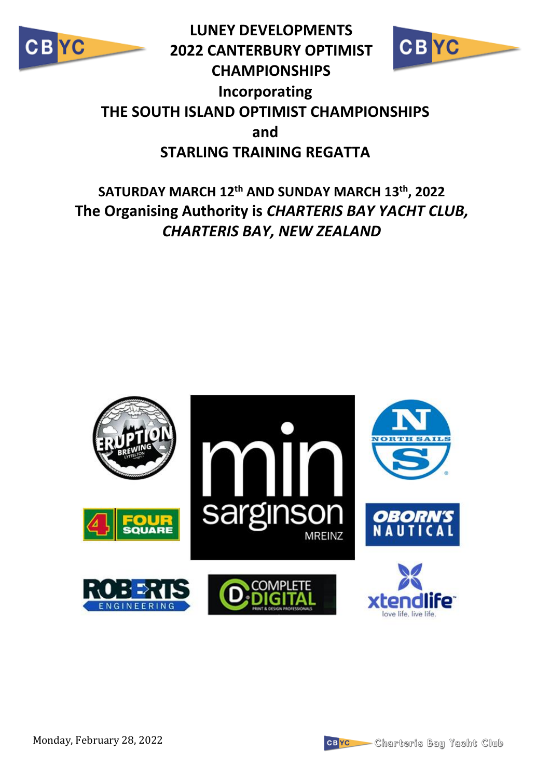

**LUNEY DEVELOPMENTS 2022 CANTERBURY OPTIMIST CHAMPIONSHIPS Incorporating THE SOUTH ISLAND OPTIMIST CHAMPIONSHIPS and STARLING TRAINING REGATTA**







YC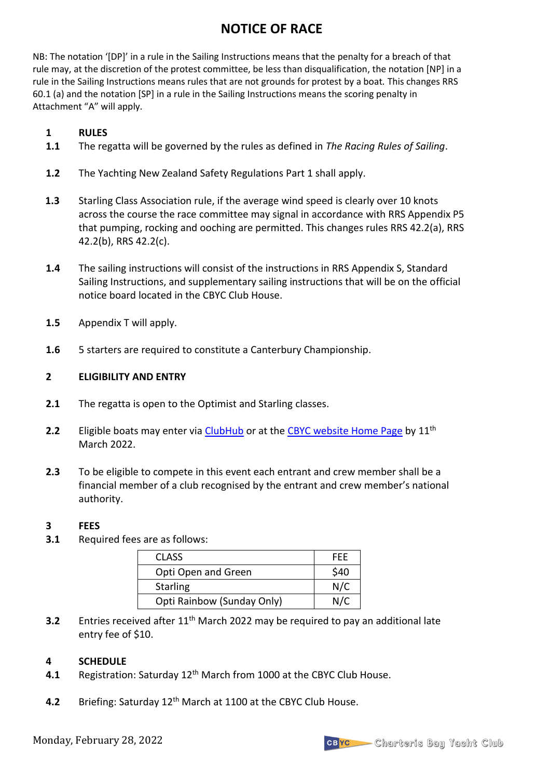### **NOTICE OF RACE**

NB: The notation '[DP]' in a rule in the Sailing Instructions means that the penalty for a breach of that rule may, at the discretion of the protest committee, be less than disqualification, the notation [NP] in a rule in the Sailing Instructions means rules that are not grounds for protest by a boat*.* This changes RRS 60.1 (a) and the notation [SP] in a rule in the Sailing Instructions means the scoring penalty in Attachment "A" will apply.

#### **1 RULES**

- **1.1** The regatta will be governed by the rules as defined in *The Racing Rules of Sailing*.
- **1.2** The Yachting New Zealand Safety Regulations Part 1 shall apply.
- **1.3** Starling Class Association rule, if the average wind speed is clearly over 10 knots across the course the race committee may signal in accordance with RRS Appendix P5 that pumping, rocking and ooching are permitted. This changes rules RRS 42.2(a), RRS 42.2(b), RRS 42.2(c).
- **1.4** The sailing instructions will consist of the instructions in RRS Appendix S, Standard Sailing Instructions, and supplementary sailing instructions that will be on the official notice board located in the CBYC Club House.
- **1.5** Appendix T will apply.
- **1.6** 5 starters are required to constitute a Canterbury Championship.

#### **2 ELIGIBILITY AND ENTRY**

- **2.1** The regatta is open to the Optimist and Starling classes.
- **2.2** Eligible boats may enter via [ClubHub](https://clubhubssl.com/hubsystem/index.php?&callclub=CBYC&screenwidth=1440&cset=Y) or at the [CBYC website Home Page](http://www.charterisbayyachtclub.co.nz/) by 11<sup>th</sup> March 2022.
- **2.3** To be eligible to compete in this event each entrant and crew member shall be a financial member of a club recognised by the entrant and crew member's national authority.

#### **3 FEES**

**3.1** Required fees are as follows:

| <b>CLASS</b>               | FFF  |
|----------------------------|------|
| Opti Open and Green        | \$40 |
| <b>Starling</b>            | N/C  |
| Opti Rainbow (Sunday Only) | N/C  |

**3.2** Entries received after 11<sup>th</sup> March 2022 may be required to pay an additional late entry fee of \$10.

#### **4 SCHEDULE**

- **4.1** Registration: Saturday 12<sup>th</sup> March from 1000 at the CBYC Club House.
- 4.2 Briefing: Saturday 12<sup>th</sup> March at 1100 at the CBYC Club House.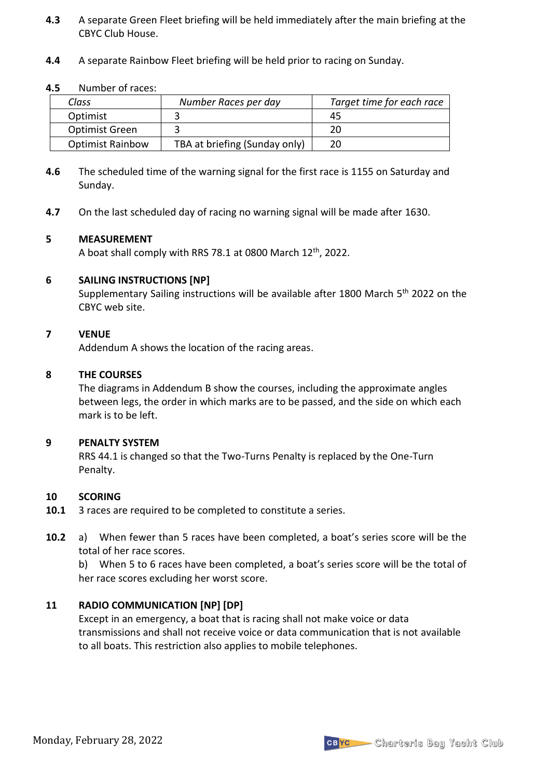- **4.3** A separate Green Fleet briefing will be held immediately after the main briefing at the CBYC Club House.
- **4.4** A separate Rainbow Fleet briefing will be held prior to racing on Sunday.

#### **4.5** Number of races:

| Class                   | Number Races per day          | Target time for each race |
|-------------------------|-------------------------------|---------------------------|
| Optimist                |                               | 45                        |
| <b>Optimist Green</b>   |                               |                           |
| <b>Optimist Rainbow</b> | TBA at briefing (Sunday only) |                           |

- **4.6** The scheduled time of the warning signal for the first race is 1155 on Saturday and Sunday.
- **4.7** On the last scheduled day of racing no warning signal will be made after 1630.

#### **5 MEASUREMENT**

A boat shall comply with RRS 78.1 at 0800 March  $12<sup>th</sup>$ , 2022.

#### **6 SAILING INSTRUCTIONS [NP]**

Supplementary Sailing instructions will be available after 1800 March 5<sup>th</sup> 2022 on the CBYC web site.

#### **7 VENUE**

Addendum A shows the location of the racing areas.

#### **8 THE COURSES**

The diagrams in Addendum B show the courses, including the approximate angles between legs, the order in which marks are to be passed, and the side on which each mark is to be left.

#### **9 PENALTY SYSTEM**

RRS 44.1 is changed so that the Two-Turns Penalty is replaced by the One-Turn Penalty.

#### **10 SCORING**

- **10.1** 3 races are required to be completed to constitute a series.
- **10.2** a) When fewer than 5 races have been completed, a boat's series score will be the total of her race scores.

b) When 5 to 6 races have been completed, a boat's series score will be the total of her race scores excluding her worst score.

#### **11 RADIO COMMUNICATION [NP] [DP]**

Except in an emergency, a boat that is racing shall not make voice or data transmissions and shall not receive voice or data communication that is not available to all boats. This restriction also applies to mobile telephones.

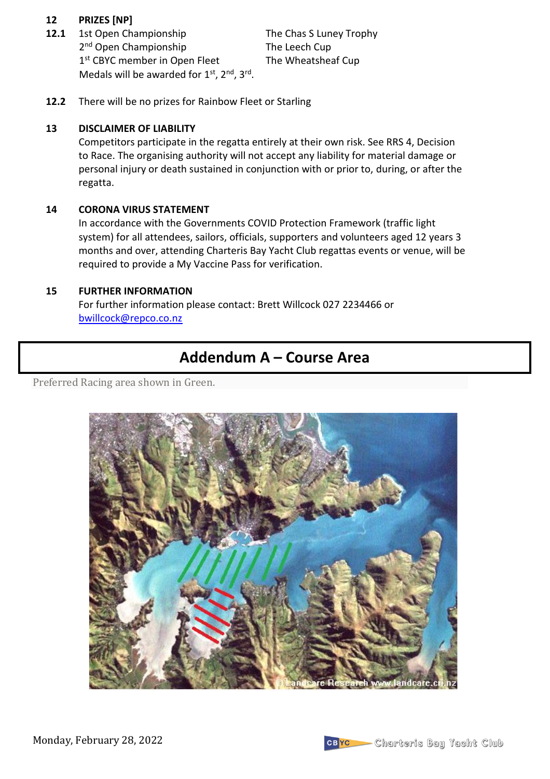#### **12 PRIZES [NP]**

**12.1** 1st Open Championship The Chas S Luney Trophy 2<sup>nd</sup> Open Championship **The Leech Cup** 1<sup>st</sup> CBYC member in Open Fleet The Wheatsheaf Cup Medals will be awarded for  $1<sup>st</sup>$ ,  $2<sup>nd</sup>$ ,  $3<sup>rd</sup>$ .

**12.2** There will be no prizes for Rainbow Fleet or Starling

#### **13 DISCLAIMER OF LIABILITY**

Competitors participate in the regatta entirely at their own risk. See RRS 4, Decision to Race. The organising authority will not accept any liability for material damage or personal injury or death sustained in conjunction with or prior to, during, or after the regatta.

#### **14 CORONA VIRUS STATEMENT**

In accordance with the Governments COVID Protection Framework (traffic light system) for all attendees, sailors, officials, supporters and volunteers aged 12 years 3 months and over, attending Charteris Bay Yacht Club regattas events or venue, will be required to provide a My Vaccine Pass for verification.

#### **15 FURTHER INFORMATION**

For further information please contact: Brett Willcock 027 2234466 or [bwillcock@repco.co.nz](mailto:bwillcock@repco.co.nz)

## **Addendum A – Course Area**

Preferred Racing area shown in Green.